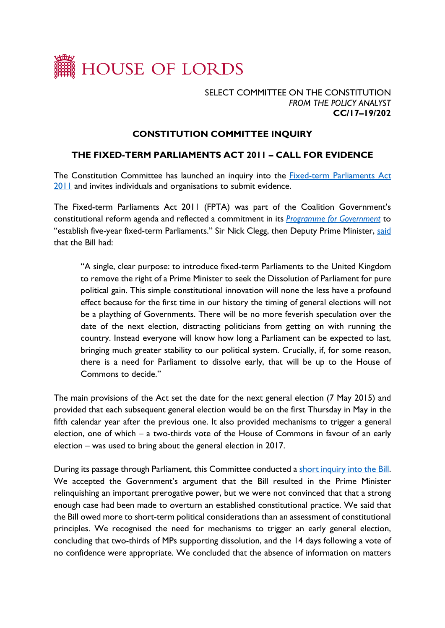

## SELECT COMMITTEE ON THE CONSTITUTION *FROM THE POLICY ANALYST* **CC/17–19/202**

## **CONSTITUTION COMMITTEE INQUIRY**

## **THE FIXED-TERM PARLIAMENTS ACT 2011 – CALL FOR EVIDENCE**

The Constitution Committee has launched an inquiry into the [Fixed-term Parliaments Act](http://www.legislation.gov.uk/ukpga/2011/14/contents/enacted)  [2011](http://www.legislation.gov.uk/ukpga/2011/14/contents/enacted) and invites individuals and organisations to submit evidence.

The Fixed-term Parliaments Act 2011 (FPTA) was part of the Coalition Government's constitutional reform agenda and reflected a commitment in its *[Programme for Government](https://assets.publishing.service.gov.uk/government/uploads/system/uploads/attachment_data/file/78977/coalition_programme_for_government.pdf)* to "establish five-year fixed-term Parliaments." Sir Nick Clegg, then Deputy Prime Minister, [said](https://hansard.parliament.uk/Commons/2010-09-13/debates/10091315000001/Fixed-TermParliamentsBill#contribution-10091315000006) that the Bill had:

"A single, clear purpose: to introduce fixed-term Parliaments to the United Kingdom to remove the right of a Prime Minister to seek the Dissolution of Parliament for pure political gain. This simple constitutional innovation will none the less have a profound effect because for the first time in our history the timing of general elections will not be a plaything of Governments. There will be no more feverish speculation over the date of the next election, distracting politicians from getting on with running the country. Instead everyone will know how long a Parliament can be expected to last, bringing much greater stability to our political system. Crucially, if, for some reason, there is a need for Parliament to dissolve early, that will be up to the House of Commons to decide."

The main provisions of the Act set the date for the next general election (7 May 2015) and provided that each subsequent general election would be on the first Thursday in May in the fifth calendar year after the previous one. It also provided mechanisms to trigger a general election, one of which – a two-thirds vote of the House of Commons in favour of an early election – was used to bring about the general election in 2017.

During its passage through Parliament, this Committee conducted a [short inquiry into the Bill.](https://publications.parliament.uk/pa/ld201011/ldselect/ldconst/69/6902.htm) We accepted the Government's argument that the Bill resulted in the Prime Minister relinquishing an important prerogative power, but we were not convinced that that a strong enough case had been made to overturn an established constitutional practice. We said that the Bill owed more to short-term political considerations than an assessment of constitutional principles. We recognised the need for mechanisms to trigger an early general election, concluding that two-thirds of MPs supporting dissolution, and the 14 days following a vote of no confidence were appropriate. We concluded that the absence of information on matters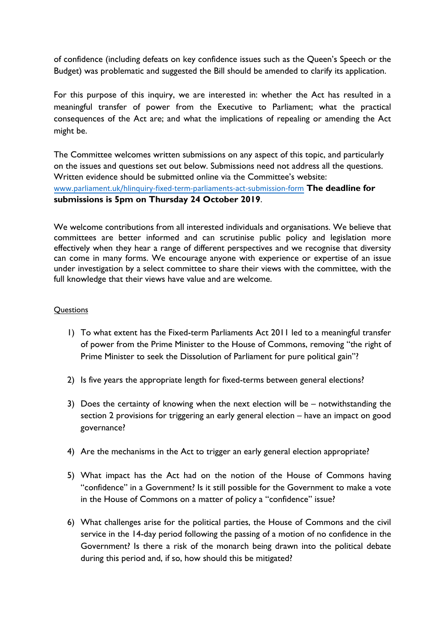of confidence (including defeats on key confidence issues such as the Queen's Speech or the Budget) was problematic and suggested the Bill should be amended to clarify its application.

For this purpose of this inquiry, we are interested in: whether the Act has resulted in a meaningful transfer of power from the Executive to Parliament; what the practical consequences of the Act are; and what the implications of repealing or amending the Act might be.

The Committee welcomes written submissions on any aspect of this topic, and particularly on the issues and questions set out below. Submissions need not address all the questions. Written evidence should be submitted online via the Committee's website: [www.parliament.uk/hlinquiry-fixed-term-parliaments-act-submission-form](https://protect-eu.mimecast.com/s/RzH2C3QL5hL3NrmsqsHt4?domain=parliament.uk) **The deadline for submissions is 5pm on Thursday 24 October 2019**.

We welcome contributions from all interested individuals and organisations. We believe that committees are better informed and can scrutinise public policy and legislation more effectively when they hear a range of different perspectives and we recognise that diversity can come in many forms. We encourage anyone with experience or expertise of an issue under investigation by a select committee to share their views with the committee, with the full knowledge that their views have value and are welcome.

## **Questions**

- 1) To what extent has the Fixed-term Parliaments Act 2011 led to a meaningful transfer of power from the Prime Minister to the House of Commons, removing "the right of Prime Minister to seek the Dissolution of Parliament for pure political gain"?
- 2) Is five years the appropriate length for fixed-terms between general elections?
- 3) Does the certainty of knowing when the next election will be notwithstanding the section 2 provisions for triggering an early general election – have an impact on good governance?
- 4) Are the mechanisms in the Act to trigger an early general election appropriate?
- 5) What impact has the Act had on the notion of the House of Commons having "confidence" in a Government? Is it still possible for the Government to make a vote in the House of Commons on a matter of policy a "confidence" issue?
- 6) What challenges arise for the political parties, the House of Commons and the civil service in the 14-day period following the passing of a motion of no confidence in the Government? Is there a risk of the monarch being drawn into the political debate during this period and, if so, how should this be mitigated?